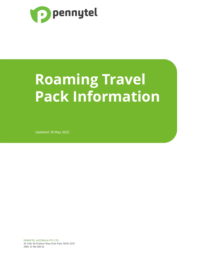

# **Roaming Travel Pack Information**

Updated: 18 May 2022

PENNYTEL AUSTRALIA PTY LTD SE 4.09, 90 Podium Way Oran Park, NSW 2570 ABN: 12 166 566 63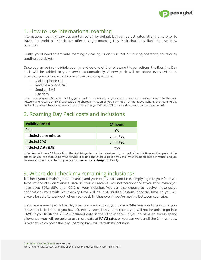

#### 1. How to use international roaming

International roaming services are turned off by default but can be activated at any time prior to travel. To avoid bill shock, we offer a single Roaming Day Pack that is available to use in 57 countries.

Firstly, you'll need to activate roaming by calling us on 1300 758 758 during operating hours or by sending us a ticket.

Once you arrive in an eligible country and do one of the following trigger actions, the Roaming Day Pack will be added to your service automatically. A new pack will be added every 24 hours provided you continue to do one of the following actions:

- Make a phone call
- Receive a phone call
- Send an SMS
- Use data

Note: Receiving an SMS does not trigger a pack to be added, so you can turn on your phone, connect to the local network and receive an SMS without being charged. As soon as you carry out 1 of the above actions, the Roaming Day Pack will be added to your service and you will be charged \$10. Your 24-hour validity period will be based on AET.

### 2. Roaming Day Pack costs and inclusions

| <b>Validity Period</b> | 24 hours  |
|------------------------|-----------|
| Price                  | \$10      |
| Included voice minutes | Unlimited |
| Included SMS           | Unlimited |
| Included Data (MB)     | 200       |

Note: You will have 24 hours from the first trigger to use the inclusions of your pack, after this time another pack will be added, or you can stop using your service. If during the 24 hour period you max your included data allowance, and you have excess spend enabled for your account excess data [charges](https://pennytel.com.au/corporate-payg-rates/) will apply.

#### 3. Where do I check my remaining inclusions?

To check your remaining data balance, and your expiry date and time, simply login to your Pennytel Account and click on "Service Details". You will receive SMS notifications to let you know when you have used 50%, 85% and 100% of your inclusion. You can also choose to receive these usage notifications by emails. Your expiry time will be in Australian Eastern Standard Time, so you will always be able to work out when your pack finishes even if you're moving between countries.

If you are roaming with the Day Roaming Pack added, you have a 24hr window to consume your 200MB included data. If you have \$0 excess spend on your account, you will not be able to go into PAYG if you finish the 200MB included data in the 24hr window. If you do have an excess spend allowance, you will be able to use more data at [PAYG](https://pennytel.com.au/corporate-payg-rates/) rates or you can wait until the 24hr window is over at which point the Day Roaming Pack will refresh its inclusion.